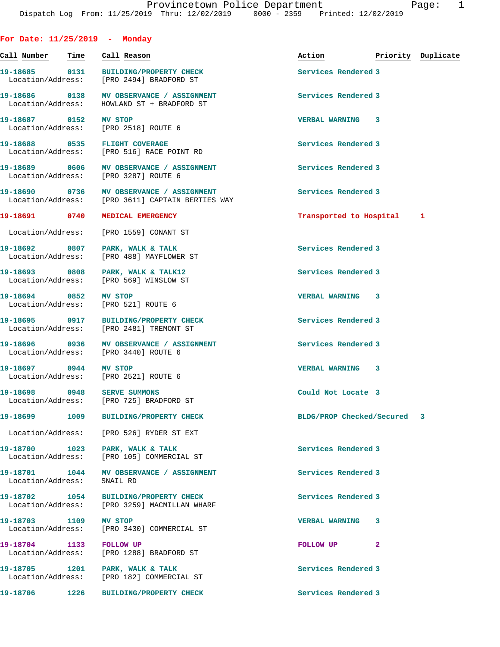| For Date: $11/25/2019$ - Monday    |      |                                                                                  |                           |   |                    |
|------------------------------------|------|----------------------------------------------------------------------------------|---------------------------|---|--------------------|
| Call Number                        | Time | Call Reason                                                                      | Action                    |   | Priority Duplicate |
| 19-18685 0131<br>Location/Address: |      | <b>BUILDING/PROPERTY CHECK</b><br>[PRO 2494] BRADFORD ST                         | Services Rendered 3       |   |                    |
| 19-18686 0138<br>Location/Address: |      | MV OBSERVANCE / ASSIGNMENT<br>HOWLAND ST + BRADFORD ST                           | Services Rendered 3       |   |                    |
| 19-18687 0152 MV STOP              |      | Location/Address: [PRO 2518] ROUTE 6                                             | <b>VERBAL WARNING 3</b>   |   |                    |
|                                    |      | 19-18688 0535 FLIGHT COVERAGE<br>Location/Address: [PRO 516] RACE POINT RD       | Services Rendered 3       |   |                    |
| 19-18689 0606<br>Location/Address: |      | MV OBSERVANCE / ASSIGNMENT<br>[PRO 3287] ROUTE 6                                 | Services Rendered 3       |   |                    |
| 19-18690 0736<br>Location/Address: |      | MV OBSERVANCE / ASSIGNMENT<br>[PRO 3611] CAPTAIN BERTIES WAY                     | Services Rendered 3       |   |                    |
| 19-18691 0740                      |      | MEDICAL EMERGENCY                                                                | Transported to Hospital   |   | ı                  |
| Location/Address:                  |      | [PRO 1559] CONANT ST                                                             |                           |   |                    |
| 19-18692 0807<br>Location/Address: |      | PARK, WALK & TALK<br>[PRO 488] MAYFLOWER ST                                      | Services Rendered 3       |   |                    |
| 19-18693 0808<br>Location/Address: |      | PARK, WALK & TALK12<br>[PRO 569] WINSLOW ST                                      | Services Rendered 3       |   |                    |
| 19-18694 0852<br>Location/Address: |      | MV STOP<br>[PRO 521] ROUTE 6                                                     | VERBAL WARNING 3          |   |                    |
|                                    |      | 19-18695 0917 BUILDING/PROPERTY CHECK<br>Location/Address: [PRO 2481] TREMONT ST | Services Rendered 3       |   |                    |
| 19-18696 0936<br>Location/Address: |      | MV OBSERVANCE / ASSIGNMENT<br>[PRO 3440] ROUTE 6                                 | Services Rendered 3       |   |                    |
| 19-18697 0944                      |      | <b>MV STOP</b><br>Location/Address: [PRO 2521] ROUTE 6                           | <b>VERBAL WARNING</b>     | 3 |                    |
| 19-18698 0948                      |      | <b>SERVE SUMMONS</b><br>Location/Address: [PRO 725] BRADFORD ST                  | Could Not Locate 3        |   |                    |
| 19-18699 2014                      | 1009 | BUILDING/PROPERTY CHECK                                                          | BLDG/PROP Checked/Secured |   | 3                  |
| Location/Address:                  |      | [PRO 526] RYDER ST EXT                                                           |                           |   |                    |
| 19-18700 1023<br>Location/Address: |      | PARK, WALK & TALK<br>[PRO 105] COMMERCIAL ST                                     | Services Rendered 3       |   |                    |
| 19-18701 1044<br>Location/Address: |      | MV OBSERVANCE / ASSIGNMENT<br>SNAIL RD                                           | Services Rendered 3       |   |                    |
| 19-18702 1054<br>Location/Address: |      | BUILDING/PROPERTY CHECK<br>[PRO 3259] MACMILLAN WHARF                            | Services Rendered 3       |   |                    |
| 19-18703 1109<br>Location/Address: |      | MV STOP<br>[PRO 3430] COMMERCIAL ST                                              | <b>VERBAL WARNING</b>     | 3 |                    |
| 19-18704 1133<br>Location/Address: |      | <b>FOLLOW UP</b><br>[PRO 1288] BRADFORD ST                                       | FOLLOW UP                 | 2 |                    |
|                                    |      | 19-18705 1201 PARK, WALK & TALK<br>Location/Address: [PRO 182] COMMERCIAL ST     | Services Rendered 3       |   |                    |
| 19-18706                           | 1226 | <b>BUILDING/PROPERTY CHECK</b>                                                   | Services Rendered 3       |   |                    |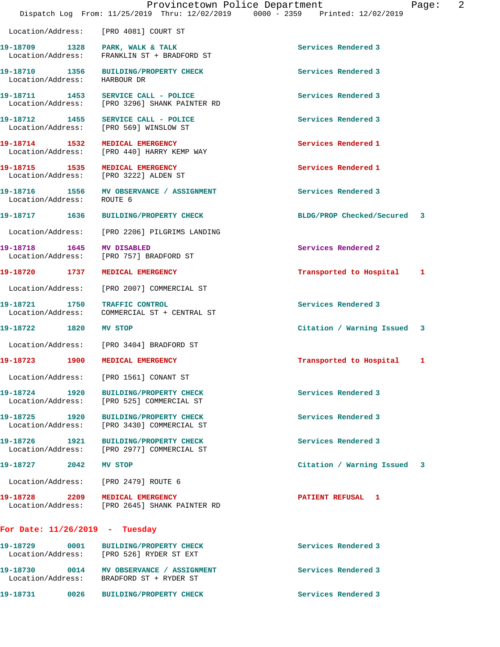|                                    | Provincetown Police Department<br>Dispatch Log From: 11/25/2019 Thru: 12/02/2019 0000 - 2359 Printed: 12/02/2019 |                             | $\overline{2}$<br>Page: |
|------------------------------------|------------------------------------------------------------------------------------------------------------------|-----------------------------|-------------------------|
|                                    | Location/Address: [PRO 4081] COURT ST                                                                            |                             |                         |
| Location/Address:                  | 19-18709 1328 PARK, WALK & TALK<br>FRANKLIN ST + BRADFORD ST                                                     | Services Rendered 3         |                         |
| Location/Address: HARBOUR DR       | 19-18710 1356 BUILDING/PROPERTY CHECK                                                                            | Services Rendered 3         |                         |
|                                    | 19-18711 1453 SERVICE CALL - POLICE<br>Location/Address: [PRO 3296] SHANK PAINTER RD                             | Services Rendered 3         |                         |
|                                    | 19-18712 1455 SERVICE CALL - POLICE<br>Location/Address: [PRO 569] WINSLOW ST                                    | Services Rendered 3         |                         |
| 19-18714 1532                      | <b>MEDICAL EMERGENCY</b><br>Location/Address: [PRO 440] HARRY KEMP WAY                                           | Services Rendered 1         |                         |
|                                    | 19-18715 1535 MEDICAL EMERGENCY<br>Location/Address: [PRO 3222] ALDEN ST                                         | Services Rendered 1         |                         |
| 19-18716 1556<br>Location/Address: | MV OBSERVANCE / ASSIGNMENT<br>ROUTE 6                                                                            | Services Rendered 3         |                         |
|                                    | 19-18717 1636 BUILDING/PROPERTY CHECK                                                                            | BLDG/PROP Checked/Secured 3 |                         |
| Location/Address:                  | [PRO 2206] PILGRIMS LANDING                                                                                      |                             |                         |
| 19-18718 1645 MV DISABLED          | Location/Address: [PRO 757] BRADFORD ST                                                                          | Services Rendered 2         |                         |
|                                    | 19-18720 1737 MEDICAL EMERGENCY                                                                                  | Transported to Hospital 1   |                         |
| Location/Address:                  | [PRO 2007] COMMERCIAL ST                                                                                         |                             |                         |
| 19-18721 1750 TRAFFIC CONTROL      | Location/Address: COMMERCIAL ST + CENTRAL ST                                                                     | Services Rendered 3         |                         |
| 19-18722 1820                      | <b>MV STOP</b>                                                                                                   | Citation / Warning Issued 3 |                         |
| Location/Address:                  | [PRO 3404] BRADFORD ST                                                                                           |                             |                         |
| 19-18723<br>1900                   | MEDICAL EMERGENCY                                                                                                | Transported to Hospital     | 1                       |
|                                    | Location/Address: [PRO 1561] CONANT ST                                                                           |                             |                         |
|                                    | 19-18724 1920 BUILDING/PROPERTY CHECK<br>Location/Address: [PRO 525] COMMERCIAL ST                               | Services Rendered 3         |                         |
|                                    | 19-18725 1920 BUILDING/PROPERTY CHECK<br>Location/Address: [PRO 3430] COMMERCIAL ST                              | Services Rendered 3         |                         |
|                                    | 19-18726 1921 BUILDING/PROPERTY CHECK<br>Location/Address: [PRO 2977] COMMERCIAL ST                              | Services Rendered 3         |                         |
| 19-18727 2042 MV STOP              |                                                                                                                  | Citation / Warning Issued 3 |                         |
|                                    | Location/Address: [PRO 2479] ROUTE 6                                                                             |                             |                         |
|                                    | 19-18728 2209 MEDICAL EMERGENCY<br>Location/Address: [PRO 2645] SHANK PAINTER RD                                 | PATIENT REFUSAL 1           |                         |
| For Date: $11/26/2019$ - Tuesday   |                                                                                                                  |                             |                         |
|                                    | 19-18729 0001 BUILDING/PROPERTY CHECK<br>Location/Address: [PRO 526] RYDER ST EXT                                | Services Rendered 3         |                         |
|                                    |                                                                                                                  | Services Rendered 3         |                         |

**19-18731 0026 BUILDING/PROPERTY CHECK Services Rendered 3** 

Location/Address: BRADFORD ST + RYDER ST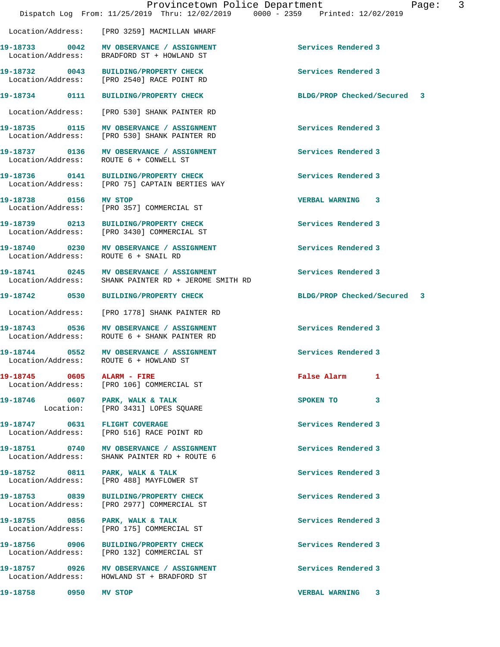Location/Address: [PRO 3259] MACMILLAN WHARF

Location/Address: BRADFORD ST + HOWLAND ST

Location/Address: [PRO 2540] RACE POINT RD

Location/Address: ROUTE 6 + CONWELL ST

**19-18758 0950 MV STOP VERBAL WARNING 3** 

Location/Address: [PRO 530] SHANK PAINTER RD

19-18733 0042 MV OBSERVANCE / ASSIGNMENT **Services Rendered 3** 

**19-18735 0115 MV OBSERVANCE / ASSIGNMENT Services Rendered 3**  Location/Address: [PRO 530] SHANK PAINTER RD

**19-18737 0136 MV OBSERVANCE / ASSIGNMENT Services Rendered 3** 

**19-18736 0141 BUILDING/PROPERTY CHECK Services Rendered 3**  Location/Address: [PRO 75] CAPTAIN BERTIES WAY

**19-18738 0156 MV STOP VERBAL WARNING 3**  Location/Address: [PRO 357] COMMERCIAL ST

**19-18739 0213 BUILDING/PROPERTY CHECK Services Rendered 3**  Location/Address: [PRO 3430] COMMERCIAL ST

**19-18740 0230 MV OBSERVANCE / ASSIGNMENT Services Rendered 3**  Location/Address: ROUTE 6 + SNAIL RD

**19-18741 0245 MV OBSERVANCE / ASSIGNMENT Services Rendered 3**  Location/Address: SHANK PAINTER RD + JEROME SMITH RD

Location/Address: [PRO 1778] SHANK PAINTER RD

**19-18743 0536 MV OBSERVANCE / ASSIGNMENT Services Rendered 3**  ROUTE 6 + SHANK PAINTER RD

**19-18744 0552 MV OBSERVANCE / ASSIGNMENT Services Rendered 3**  Location/Address: ROUTE 6 + HOWLAND ST

**19-18745 0605 ALARM - FIRE False Alarm 1**  Location/Address: [PRO 106] COMMERCIAL ST

**19-18746** 0607 PARK, WALK & TALK **DEALL** SPOKEN TO 3 Location: [PRO 3431] LOPES SQUARE

**19-18747 0631 FLIGHT COVERAGE Services Rendered 3**  Location/Address: [PRO 516] RACE POINT RD

19-18751 **0740** MV OBSERVANCE / ASSIGNMENT **Services Rendered 3** Location/Address: SHANK PAINTER RD + ROUTE 6

19-18752 0811 PARK, WALK & TALK **Services Rendered 3** Location/Address: [PRO 488] MAYFLOWER ST

**19-18753 0839 BUILDING/PROPERTY CHECK Services Rendered 3**  Location/Address: [PRO 2977] COMMERCIAL ST

**19-18755 0856 PARK, WALK & TALK Services Rendered 3**  Location/Address: [PRO 175] COMMERCIAL ST

**19-18756 0906 BUILDING/PROPERTY CHECK Services Rendered 3**  Location/Address: [PRO 132] COMMERCIAL ST

**19-18757 0926 MV OBSERVANCE / ASSIGNMENT Services Rendered 3**  Location/Address: HOWLAND ST + BRADFORD ST

**19-18732 0043 BUILDING/PROPERTY CHECK Services Rendered 3** 

**19-18734 0111 BUILDING/PROPERTY CHECK BLDG/PROP Checked/Secured 3**

**19-18742 0530 BUILDING/PROPERTY CHECK BLDG/PROP Checked/Secured 3**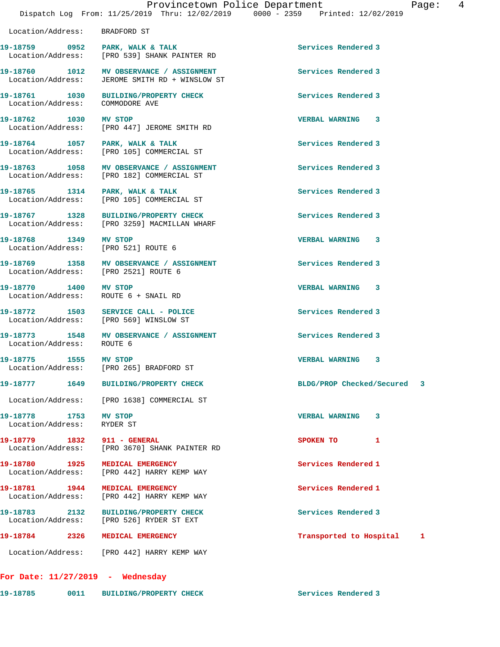| 19-18759 0952                                                 | PARK, WALK & TALK<br>Location/Address: [PRO 539] SHANK PAINTER RD                          | Services Rendered 3         |   |
|---------------------------------------------------------------|--------------------------------------------------------------------------------------------|-----------------------------|---|
|                                                               | 19-18760 1012 MV OBSERVANCE / ASSIGNMENT<br>Location/Address: JEROME SMITH RD + WINSLOW ST | Services Rendered 3         |   |
| Location/Address:                                             | 19-18761 1030 BUILDING/PROPERTY CHECK<br>COMMODORE AVE                                     | Services Rendered 3         |   |
| 19-18762 1030 MV STOP                                         | Location/Address: [PRO 447] JEROME SMITH RD                                                | VERBAL WARNING 3            |   |
| 19-18764 1057 PARK, WALK & TALK                               | Location/Address: [PRO 105] COMMERCIAL ST                                                  | Services Rendered 3         |   |
|                                                               | 19-18763 1058 MV OBSERVANCE / ASSIGNMENT<br>Location/Address: [PRO 182] COMMERCIAL ST      | Services Rendered 3         |   |
| 19-18765 1314 PARK, WALK & TALK                               | Location/Address: [PRO 105] COMMERCIAL ST                                                  | Services Rendered 3         |   |
| 19-18767 1328                                                 | BUILDING/PROPERTY CHECK<br>Location/Address: [PRO 3259] MACMILLAN WHARF                    | Services Rendered 3         |   |
| 19-18768 1349<br>Location/Address: [PRO 521] ROUTE 6          | <b>MV STOP</b>                                                                             | <b>VERBAL WARNING 3</b>     |   |
| Location/Address: [PRO 2521] ROUTE 6                          | 19-18769 1358 MV OBSERVANCE / ASSIGNMENT                                                   | Services Rendered 3         |   |
| 19-18770 1400 MV STOP<br>Location/Address: ROUTE 6 + SNAIL RD |                                                                                            | VERBAL WARNING 3            |   |
| Location/Address: [PRO 569] WINSLOW ST                        | 19-18772 1503 SERVICE CALL - POLICE                                                        | Services Rendered 3         |   |
| Location/Address: ROUTE 6                                     | 19-18773 1548 MV OBSERVANCE / ASSIGNMENT                                                   | Services Rendered 3         |   |
| 19-18775 1555 MV STOP                                         | Location/Address: [PRO 265] BRADFORD ST                                                    | VERBAL WARNING 3            |   |
|                                                               | 19-18777 1649 BUILDING/PROPERTY CHECK                                                      | BLDG/PROP Checked/Secured 3 |   |
|                                                               | Location/Address: [PRO 1638] COMMERCIAL ST                                                 |                             |   |
| 19-18778 1753 MV STOP<br>Location/Address: RYDER ST           |                                                                                            | <b>VERBAL WARNING</b><br>3  |   |
| 19-18779 1832 911 - GENERAL                                   | Location/Address: [PRO 3670] SHANK PAINTER RD                                              | 1<br>SPOKEN TO              |   |
| 19-18780 1925 MEDICAL EMERGENCY                               | Location/Address: [PRO 442] HARRY KEMP WAY                                                 | Services Rendered 1         |   |
| 19-18781 1944 MEDICAL EMERGENCY                               | Location/Address: [PRO 442] HARRY KEMP WAY                                                 | Services Rendered 1         |   |
| 19-18783 2132                                                 | <b>BUILDING/PROPERTY CHECK</b><br>Location/Address: [PRO 526] RYDER ST EXT                 | Services Rendered 3         |   |
| 19-18784 2326                                                 | MEDICAL EMERGENCY                                                                          | Transported to Hospital     | 1 |
|                                                               | Location/Address: [PRO 442] HARRY KEMP WAY                                                 |                             |   |

**For Date: 11/27/2019 - Wednesday 19-18785 0011 BUILDING/PROPERTY CHECK Services Rendered 3** 

Location/Address: BRADFORD ST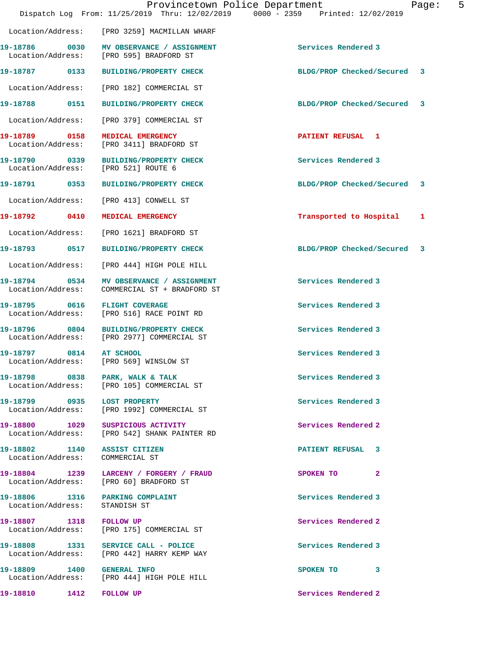|                                                                  | Provincetown Police Department<br>Dispatch Log From: 11/25/2019 Thru: 12/02/2019 0000 - 2359 Printed: 12/02/2019 | Page:                          | 5 |
|------------------------------------------------------------------|------------------------------------------------------------------------------------------------------------------|--------------------------------|---|
|                                                                  | Location/Address: [PRO 3259] MACMILLAN WHARF                                                                     |                                |   |
|                                                                  | 19-18786 0030 MV OBSERVANCE / ASSIGNMENT<br>Location/Address: [PRO 595] BRADFORD ST                              | Services Rendered 3            |   |
|                                                                  | 19-18787 0133 BUILDING/PROPERTY CHECK                                                                            | BLDG/PROP Checked/Secured<br>3 |   |
|                                                                  | Location/Address: [PRO 182] COMMERCIAL ST                                                                        |                                |   |
|                                                                  | 19-18788 0151 BUILDING/PROPERTY CHECK                                                                            | BLDG/PROP Checked/Secured 3    |   |
|                                                                  | Location/Address: [PRO 379] COMMERCIAL ST                                                                        |                                |   |
|                                                                  | 19-18789 0158 MEDICAL EMERGENCY<br>Location/Address: [PRO 3411] BRADFORD ST                                      | PATIENT REFUSAL 1              |   |
| Location/Address: [PRO 521] ROUTE 6                              | 19-18790 0339 BUILDING/PROPERTY CHECK                                                                            | Services Rendered 3            |   |
|                                                                  | 19-18791 0353 BUILDING/PROPERTY CHECK                                                                            | BLDG/PROP Checked/Secured 3    |   |
| Location/Address:                                                | [PRO 413] CONWELL ST                                                                                             |                                |   |
|                                                                  | 19-18792 0410 MEDICAL EMERGENCY                                                                                  | Transported to Hospital<br>1   |   |
|                                                                  | Location/Address: [PRO 1621] BRADFORD ST                                                                         |                                |   |
|                                                                  | 19-18793 0517 BUILDING/PROPERTY CHECK                                                                            | BLDG/PROP Checked/Secured<br>3 |   |
| Location/Address:                                                | [PRO 444] HIGH POLE HILL                                                                                         |                                |   |
| 19-18794 0534<br>Location/Address:                               | MV OBSERVANCE / ASSIGNMENT<br>COMMERCIAL ST + BRADFORD ST                                                        | Services Rendered 3            |   |
| 19-18795 0616 FLIGHT COVERAGE                                    | Location/Address: [PRO 516] RACE POINT RD                                                                        | Services Rendered 3            |   |
| 19-18796 0804                                                    | <b>BUILDING/PROPERTY CHECK</b><br>Location/Address: [PRO 2977] COMMERCIAL ST                                     | Services Rendered 3            |   |
| 19-18797 0814<br>Location/Address:                               | AT SCHOOL<br>[PRO 569] WINSLOW ST                                                                                | Services Rendered 3            |   |
|                                                                  | 19-18798 0838 PARK, WALK & TALK<br>Location/Address: [PRO 105] COMMERCIAL ST                                     | Services Rendered 3            |   |
| 19-18799 0935 LOST PROPERTY                                      | Location/Address: [PRO 1992] COMMERCIAL ST                                                                       | Services Rendered 3            |   |
|                                                                  | 19-18800 1029 SUSPICIOUS ACTIVITY<br>Location/Address: [PRO 542] SHANK PAINTER RD                                | Services Rendered 2            |   |
| 19-18802 1140 ASSIST CITIZEN<br>Location/Address: COMMERCIAL ST  |                                                                                                                  | PATIENT REFUSAL 3              |   |
|                                                                  | 19-18804 1239 LARCENY / FORGERY / FRAUD<br>Location/Address: [PRO 60] BRADFORD ST                                | SPOKEN TO 2                    |   |
| 19-18806 1316 PARKING COMPLAINT<br>Location/Address: STANDISH ST |                                                                                                                  | Services Rendered 3            |   |
| 19-18807 1318 FOLLOW UP                                          | Location/Address: [PRO 175] COMMERCIAL ST                                                                        | Services Rendered 2            |   |
|                                                                  | 19-18808 1331 SERVICE CALL - POLICE<br>Location/Address: [PRO 442] HARRY KEMP WAY                                | Services Rendered 3            |   |
| 19-18809 1400 GENERAL INFO                                       | Location/Address: [PRO 444] HIGH POLE HILL                                                                       | SPOKEN TO 3                    |   |
| 19-18810 1412 FOLLOW UP                                          |                                                                                                                  | Services Rendered 2            |   |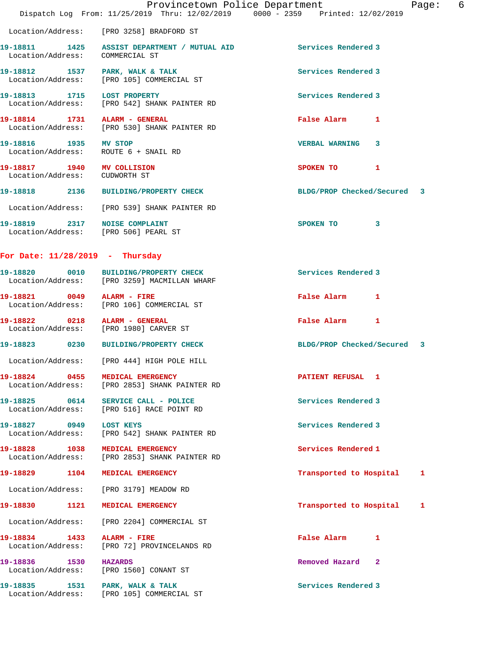|                                                             |      | Provincetown Police Department<br>Dispatch Log From: 11/25/2019 Thru: 12/02/2019 0000 - 2359 Printed: 12/02/2019 |                             |              | Page: | 6 |
|-------------------------------------------------------------|------|------------------------------------------------------------------------------------------------------------------|-----------------------------|--------------|-------|---|
|                                                             |      | Location/Address: [PRO 3258] BRADFORD ST                                                                         |                             |              |       |   |
| Location/Address: COMMERCIAL ST                             |      | 19-18811 1425 ASSIST DEPARTMENT / MUTUAL AID                                                                     | Services Rendered 3         |              |       |   |
|                                                             |      | 19-18812 1537 PARK, WALK & TALK<br>Location/Address: [PRO 105] COMMERCIAL ST                                     | Services Rendered 3         |              |       |   |
| 19-18813 1715 LOST PROPERTY                                 |      | Location/Address: [PRO 542] SHANK PAINTER RD                                                                     | Services Rendered 3         |              |       |   |
|                                                             |      | 19-18814   1731   ALARM - GENERAL<br>Location/Address: [PRO 530] SHANK PAINTER RD                                | False Alarm                 | $\mathbf{1}$ |       |   |
| 19-18816 1935 MV STOP                                       |      | Location/Address: ROUTE 6 + SNAIL RD                                                                             | <b>VERBAL WARNING</b>       | $\mathbf{3}$ |       |   |
| 19-18817 1940 MV COLLISION<br>Location/Address: CUDWORTH ST |      |                                                                                                                  | SPOKEN TO                   | 1            |       |   |
|                                                             |      | 19-18818 2136 BUILDING/PROPERTY CHECK                                                                            | BLDG/PROP Checked/Secured 3 |              |       |   |
|                                                             |      | Location/Address: [PRO 539] SHANK PAINTER RD                                                                     |                             |              |       |   |
|                                                             |      | 19-18819 2317 NOISE COMPLAINT<br>Location/Address: [PRO 506] PEARL ST                                            | SPOKEN TO                   | $\mathbf{3}$ |       |   |
| For Date: $11/28/2019$ - Thursday                           |      |                                                                                                                  |                             |              |       |   |
|                                                             |      | 19-18820 0010 BUILDING/PROPERTY CHECK<br>Location/Address: [PRO 3259] MACMILLAN WHARF                            | Services Rendered 3         |              |       |   |
| 19-18821 0049 ALARM - FIRE                                  |      | Location/Address: [PRO 106] COMMERCIAL ST                                                                        | False Alarm                 | 1            |       |   |
|                                                             |      | 19-18822 0218 ALARM - GENERAL<br>Location/Address: [PRO 1980] CARVER ST                                          | False Alarm 1               |              |       |   |
| 19-18823 0230                                               |      | <b>BUILDING/PROPERTY CHECK</b>                                                                                   | BLDG/PROP Checked/Secured 3 |              |       |   |
|                                                             |      | Location/Address: [PRO 444] HIGH POLE HILL                                                                       |                             |              |       |   |
| 19-18824 0455                                               |      | MEDICAL EMERGENCY<br>Location/Address: [PRO 2853] SHANK PAINTER RD                                               | PATIENT REFUSAL 1           |              |       |   |
| 19-18825 0614                                               |      | SERVICE CALL - POLICE<br>Location/Address: [PRO 516] RACE POINT RD                                               | Services Rendered 3         |              |       |   |
| 19-18827 0949                                               |      | <b>LOST KEYS</b><br>Location/Address: [PRO 542] SHANK PAINTER RD                                                 | Services Rendered 3         |              |       |   |
| 19-18828 1038<br>Location/Address:                          |      | MEDICAL EMERGENCY<br>[PRO 2853] SHANK PAINTER RD                                                                 | Services Rendered 1         |              |       |   |
| 19-18829 1104                                               |      | MEDICAL EMERGENCY                                                                                                | Transported to Hospital     |              | 1     |   |
|                                                             |      | Location/Address: [PRO 3179] MEADOW RD                                                                           |                             |              |       |   |
| 19-18830                                                    | 1121 | MEDICAL EMERGENCY                                                                                                | Transported to Hospital     |              | 1     |   |
| Location/Address:                                           |      | [PRO 2204] COMMERCIAL ST                                                                                         |                             |              |       |   |
| 19-18834 1433<br>Location/Address:                          |      | ALARM - FIRE<br>[PRO 72] PROVINCELANDS RD                                                                        | False Alarm                 | 1            |       |   |
| 19-18836 1530                                               |      | <b>HAZARDS</b><br>Location/Address: [PRO 1560] CONANT ST                                                         | Removed Hazard 2            |              |       |   |
|                                                             |      | 19-18835 1531 PARK, WALK & TALK<br>Location/Address: [PRO 105] COMMERCIAL ST                                     | Services Rendered 3         |              |       |   |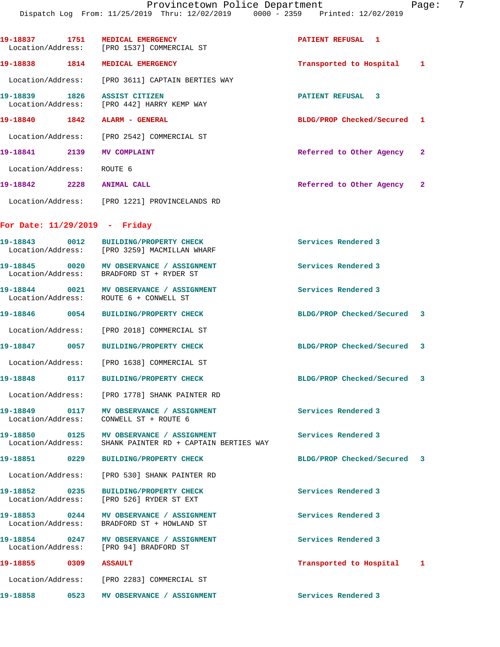**19-18837 1751 MEDICAL EMERGENCY PATIENT REFUSAL 1**  Location/Address: [PRO 1537] COMMERCIAL ST **19-18838 1814 MEDICAL EMERGENCY Transported to Hospital 1** Location/Address: [PRO 3611] CAPTAIN BERTIES WAY **19-18839 1826 ASSIST CITIZEN PATIENT REFUSAL 3**  Location/Address: [PRO 442] HARRY KEMP WAY **19-18840 1842 ALARM - GENERAL BLDG/PROP Checked/Secured 1** Location/Address: [PRO 2542] COMMERCIAL ST **19-18841 2139 MV COMPLAINT Referred to Other Agency 2** Location/Address: ROUTE 6 **19-18842 2228 ANIMAL CALL Referred to Other Agency 2** Location/Address: [PRO 1221] PROVINCELANDS RD **For Date: 11/29/2019 - Friday 19-18843 0012 BUILDING/PROPERTY CHECK Services Rendered 3**  Location/Address: [PRO 3259] MACMILLAN WHARF 19-18845 0020 MV OBSERVANCE / ASSIGNMENT **Services Rendered 3**  Location/Address: BRADFORD ST + RYDER ST 19-18844 0021 MV OBSERVANCE / ASSIGNMENT **Services Rendered 3**  Location/Address: ROUTE 6 + CONWELL ST **19-18846 0054 BUILDING/PROPERTY CHECK BLDG/PROP Checked/Secured 3** Location/Address: [PRO 2018] COMMERCIAL ST **19-18847 0057 BUILDING/PROPERTY CHECK BLDG/PROP Checked/Secured 3** Location/Address: [PRO 1638] COMMERCIAL ST **19-18848 0117 BUILDING/PROPERTY CHECK BLDG/PROP Checked/Secured 3** Location/Address: [PRO 1778] SHANK PAINTER RD **19-18849 0117 MV OBSERVANCE / ASSIGNMENT Services Rendered 3**  Location/Address: CONWELL ST + ROUTE 6 **19-18850 0125 MV OBSERVANCE / ASSIGNMENT Services Rendered 3**  Location/Address: SHANK PAINTER RD + CAPTAIN BERTIES WAY **19-18851 0229 BUILDING/PROPERTY CHECK BLDG/PROP Checked/Secured 3** Location/Address: [PRO 530] SHANK PAINTER RD **19-18852 0235 BUILDING/PROPERTY CHECK Services Rendered 3**  Location/Address: **19-18853 0244 MV OBSERVANCE / ASSIGNMENT Services Rendered 3**  Location/Address: BRADFORD ST + HOWLAND ST **19-18854 0247 MV OBSERVANCE / ASSIGNMENT Services Rendered 3**  Location/Address: [PRO 94] BRADFORD ST **19-18855 0309 ASSAULT Transported to Hospital 1**

**19-18858 0523 MV OBSERVANCE / ASSIGNMENT Services Rendered 3** 

Location/Address: [PRO 2283] COMMERCIAL ST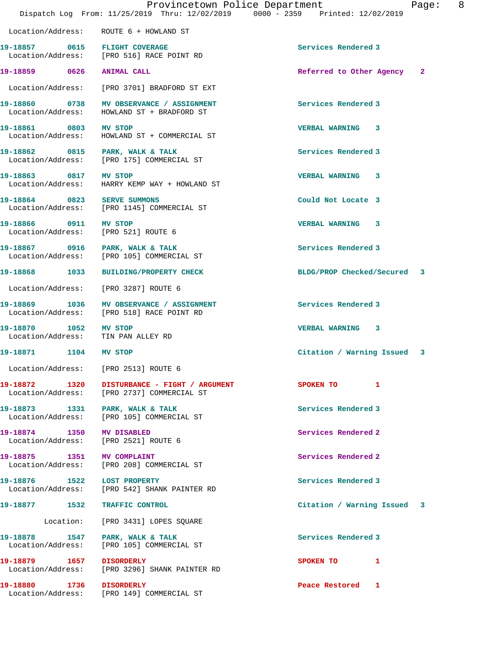|                                                              | Provincetown Police Department<br>Dispatch Log From: 11/25/2019 Thru: 12/02/2019 0000 - 2359 Printed: 12/02/2019 | Page:                       | 8 |
|--------------------------------------------------------------|------------------------------------------------------------------------------------------------------------------|-----------------------------|---|
|                                                              | Location/Address: ROUTE 6 + HOWLAND ST                                                                           |                             |   |
| 19-18857 0615 FLIGHT COVERAGE                                | Location/Address: [PRO 516] RACE POINT RD                                                                        | Services Rendered 3         |   |
| 19-18859 0626 ANIMAL CALL                                    |                                                                                                                  | Referred to Other Agency 2  |   |
|                                                              | Location/Address: [PRO 3701] BRADFORD ST EXT                                                                     |                             |   |
|                                                              | 19-18860 0738 MV OBSERVANCE / ASSIGNMENT<br>Location/Address: HOWLAND ST + BRADFORD ST                           | Services Rendered 3         |   |
| 19-18861 0803 MV STOP                                        | Location/Address: HOWLAND ST + COMMERCIAL ST                                                                     | <b>VERBAL WARNING 3</b>     |   |
|                                                              | 19-18862 0815 PARK, WALK & TALK<br>Location/Address: [PRO 175] COMMERCIAL ST                                     | Services Rendered 3         |   |
| 19-18863 0817 MV STOP                                        | Location/Address: HARRY KEMP WAY + HOWLAND ST                                                                    | <b>VERBAL WARNING 3</b>     |   |
|                                                              | 19-18864 0823 SERVE SUMMONS<br>Location/Address: [PRO 1145] COMMERCIAL ST                                        | Could Not Locate 3          |   |
| 19-18866 0911 MV STOP<br>Location/Address: [PRO 521] ROUTE 6 |                                                                                                                  | VERBAL WARNING 3            |   |
|                                                              | 19-18867 0916 PARK, WALK & TALK<br>Location/Address: [PRO 105] COMMERCIAL ST                                     | Services Rendered 3         |   |
|                                                              | 19-18868 1033 BUILDING/PROPERTY CHECK                                                                            | BLDG/PROP Checked/Secured 3 |   |
|                                                              | Location/Address: [PRO 3287] ROUTE 6                                                                             |                             |   |
|                                                              | 19-18869 1036 MV OBSERVANCE / ASSIGNMENT<br>Location/Address: [PRO 518] RACE POINT RD                            | Services Rendered 3         |   |
| 19-18870 1052 MV STOP<br>Location/Address: TIN PAN ALLEY RD  |                                                                                                                  | <b>VERBAL WARNING 3</b>     |   |
| 19-18871 1104 MV STOP                                        |                                                                                                                  | Citation / Warning Issued 3 |   |
|                                                              | Location/Address: [PRO 2513] ROUTE 6                                                                             |                             |   |
|                                                              | 19-18872 1320 DISTURBANCE - FIGHT / ARGUMENT<br>Location/Address: [PRO 2737] COMMERCIAL ST                       | SPOKEN TO 1                 |   |
| 19-18873 1331 PARK, WALK & TALK                              | Location/Address: [PRO 105] COMMERCIAL ST                                                                        | Services Rendered 3         |   |
| 19-18874 1350 MV DISABLED                                    | Location/Address: [PRO 2521] ROUTE 6                                                                             | Services Rendered 2         |   |
| 19-18875 1351 MV COMPLAINT                                   | Location/Address: [PRO 208] COMMERCIAL ST                                                                        | Services Rendered 2         |   |
| 19-18876 1522 LOST PROPERTY                                  | Location/Address: [PRO 542] SHANK PAINTER RD                                                                     | Services Rendered 3         |   |
| 19-18877 1532 TRAFFIC CONTROL                                |                                                                                                                  | Citation / Warning Issued 3 |   |
|                                                              | Location: [PRO 3431] LOPES SQUARE                                                                                |                             |   |
|                                                              | 19-18878 1547 PARK, WALK & TALK<br>Location/Address: [PRO 105] COMMERCIAL ST                                     | Services Rendered 3         |   |
| 19-18879    1657    DISORDERLY                               | Location/Address: [PRO 3296] SHANK PAINTER RD                                                                    | SPOKEN TO 1                 |   |
| 19-18880 1736 DISORDERLY                                     | Location/Address: [PRO 149] COMMERCIAL ST                                                                        | Peace Restored 1            |   |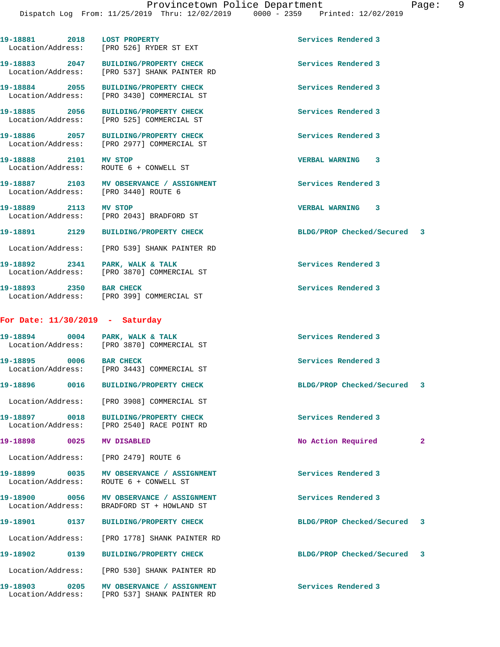|                                    | 19-18881 2018 LOST PROPERTY<br>Location/Address: [PRO 526] RYDER ST EXT                  | Services Rendered 3                  |
|------------------------------------|------------------------------------------------------------------------------------------|--------------------------------------|
| 19-18883 2047                      | BUILDING/PROPERTY CHECK<br>Location/Address: [PRO 537] SHANK PAINTER RD                  | Services Rendered 3                  |
| 19-18884 2055                      | BUILDING/PROPERTY CHECK<br>Location/Address: [PRO 3430] COMMERCIAL ST                    | Services Rendered 3                  |
| 19-18885 2056<br>Location/Address: | <b>BUILDING/PROPERTY CHECK</b><br>[PRO 525] COMMERCIAL ST                                | Services Rendered 3                  |
|                                    | 19-18886 2057 BUILDING/PROPERTY CHECK<br>Location/Address: [PRO 2977] COMMERCIAL ST      | Services Rendered 3                  |
| 19-18888 2101 MV STOP              | Location/Address: ROUTE 6 + CONWELL ST                                                   | VERBAL WARNING 3                     |
|                                    | 19-18887 2103 MV OBSERVANCE / ASSIGNMENT<br>Location/Address: [PRO 3440] ROUTE 6         | Services Rendered 3                  |
| 19-18889 2113 MV STOP              | Location/Address: [PRO 2043] BRADFORD ST                                                 | VERBAL WARNING 3                     |
|                                    | 19-18891 2129 BUILDING/PROPERTY CHECK                                                    | BLDG/PROP Checked/Secured 3          |
|                                    | Location/Address: [PRO 539] SHANK PAINTER RD                                             |                                      |
|                                    | 19-18892 2341 PARK, WALK & TALK<br>Location/Address: [PRO 3870] COMMERCIAL ST            | Services Rendered 3                  |
| 19-18893 2350 BAR CHECK            | Location/Address: [PRO 399] COMMERCIAL ST                                                | Services Rendered 3                  |
| For Date: $11/30/2019$ - Saturday  |                                                                                          |                                      |
|                                    | 19-18894 0004 PARK, WALK & TALK<br>Location/Address: [PRO 3870] COMMERCIAL ST            | Services Rendered 3                  |
| 19-18895 0006 BAR CHECK            | Location/Address: [PRO 3443] COMMERCIAL ST                                               | Services Rendered 3                  |
|                                    | 19-18896 0016 BUILDING/PROPERTY CHECK                                                    | BLDG/PROP Checked/Secured 3          |
|                                    | Location/Address: [PRO 3908] COMMERCIAL ST                                               |                                      |
| 19-18897 0018                      | BUILDING/PROPERTY CHECK<br>Location/Address: [PRO 2540] RACE POINT RD                    | Services Rendered 3                  |
| 19-18898                           | 0025 MV DISABLED                                                                         | No Action Required<br>$\overline{2}$ |
|                                    | Location/Address: [PRO 2479] ROUTE 6                                                     |                                      |
| Location/Address:                  | 19-18899 0035 MV OBSERVANCE / ASSIGNMENT<br>ROUTE 6 + CONWELL ST                         | Services Rendered 3                  |
| 19-18900 0056                      | MV OBSERVANCE / ASSIGNMENT<br>Location/Address: BRADFORD ST + HOWLAND ST                 | Services Rendered 3                  |
| 19-18901 0137                      | BUILDING/PROPERTY CHECK                                                                  | BLDG/PROP Checked/Secured<br>3       |
|                                    | Location/Address: [PRO 1778] SHANK PAINTER RD                                            |                                      |
| 19-18902 0139                      | <b>BUILDING/PROPERTY CHECK</b>                                                           | BLDG/PROP Checked/Secured<br>3       |
|                                    | Location/Address: [PRO 530] SHANK PAINTER RD                                             |                                      |
|                                    | 19-18903 0205 MV OBSERVANCE / ASSIGNMENT<br>Location/Address: [PRO 537] SHANK PAINTER RD | Services Rendered 3                  |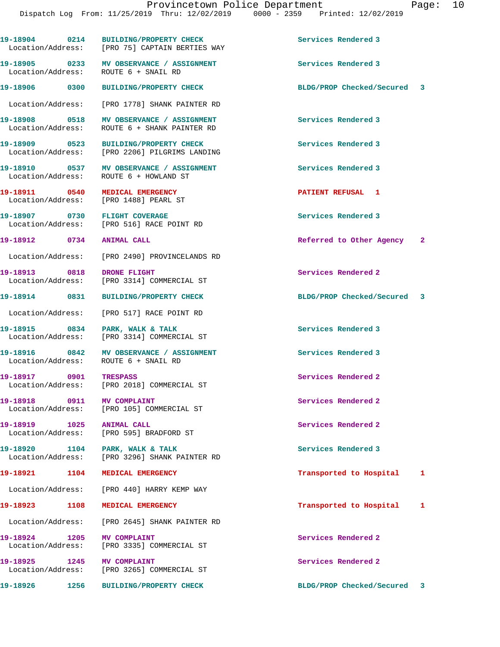**19-18904 0214 BUILDING/PROPERTY CHECK Services Rendered 3** 

Location/Address: [PRO 75] CAPTAIN BERTIES WAY

**19-18905 0233 MV OBSERVANCE / ASSIGNMENT Services Rendered 3**  Location/Address: ROUTE 6 + SNAIL RD **19-18906 0300 BUILDING/PROPERTY CHECK BLDG/PROP Checked/Secured 3** Location/Address: [PRO 1778] SHANK PAINTER RD **19-18908 0518 MV OBSERVANCE / ASSIGNMENT Services Rendered 3**  Location/Address: ROUTE 6 + SHANK PAINTER RD **19-18909 0523 BUILDING/PROPERTY CHECK Services Rendered 3**  Location/Address: [PRO 2206] PILGRIMS LANDING **19-18910 0537 MV OBSERVANCE / ASSIGNMENT Services Rendered 3**  Location/Address: ROUTE 6 + HOWLAND ST **19-18911 0540 MEDICAL EMERGENCY PATIENT REFUSAL 1**  Location/Address: [PRO 1488] PEARL ST **19-18907 0730 FLIGHT COVERAGE Services Rendered 3**  [PRO 516] RACE POINT RD **19-18912 0734 ANIMAL CALL Referred to Other Agency 2** Location/Address: [PRO 2490] PROVINCELANDS RD **19-18913** 0818 DRONE FLIGHT Services Rendered 2 Location/Address: [PRO 3314] COMMERCIAL ST **19-18914 0831 BUILDING/PROPERTY CHECK BLDG/PROP Checked/Secured 3** Location/Address: [PRO 517] RACE POINT RD **19-18915 0834 PARK, WALK & TALK Services Rendered 3**  Location/Address: [PRO 3314] COMMERCIAL ST 19-18916 **0842** MV OBSERVANCE / ASSIGNMENT Services Rendered 3 Location/Address: ROUTE 6 + SNAIL RD **19-18917 0901 TRESPASS Services Rendered 2**  Location/Address: [PRO 2018] COMMERCIAL ST **19-18918 0911 MV COMPLAINT Services Rendered 2**  Location/Address: [PRO 105] COMMERCIAL ST **19-18919 1025 ANIMAL CALL Services Rendered 2**  Location/Address: [PRO 595] BRADFORD ST **19-18920 1104 PARK, WALK & TALK Services Rendered 3**  [PRO 3296] SHANK PAINTER RD **19-18921 1104 MEDICAL EMERGENCY Transported to Hospital 1** Location/Address: [PRO 440] HARRY KEMP WAY **19-18923 1108 MEDICAL EMERGENCY Transported to Hospital 1** Location/Address: [PRO 2645] SHANK PAINTER RD **19-18924 1205 MV COMPLAINT Services Rendered 2**  Location/Address: [PRO 3335] COMMERCIAL ST **19-18925 1245 MV COMPLAINT Services Rendered 2**  Location/Address: [PRO 3265] COMMERCIAL ST **19-18926 1256 BUILDING/PROPERTY CHECK BLDG/PROP Checked/Secured 3**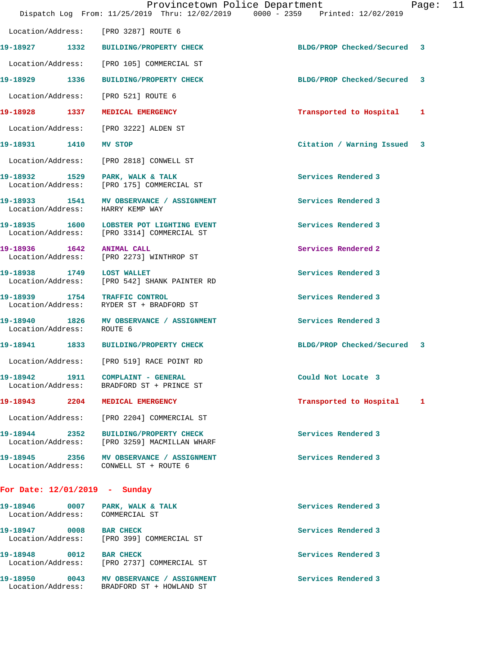|                                    | Provincetown Police Department<br>Dispatch Log From: 11/25/2019 Thru: 12/02/2019 0000 - 2359 Printed: 12/02/2019 |                             | Page: | 11 |
|------------------------------------|------------------------------------------------------------------------------------------------------------------|-----------------------------|-------|----|
| Location/Address:                  | [PRO 3287] ROUTE 6                                                                                               |                             |       |    |
| 19-18927 1332                      | <b>BUILDING/PROPERTY CHECK</b>                                                                                   | BLDG/PROP Checked/Secured   | 3     |    |
| Location/Address:                  | [PRO 105] COMMERCIAL ST                                                                                          |                             |       |    |
| 19-18929 1336                      | <b>BUILDING/PROPERTY CHECK</b>                                                                                   | BLDG/PROP Checked/Secured   | 3     |    |
| Location/Address:                  | [PRO 521] ROUTE 6                                                                                                |                             |       |    |
| 19-18928 1337                      | MEDICAL EMERGENCY                                                                                                | Transported to Hospital     | 1     |    |
| Location/Address:                  | [PRO 3222] ALDEN ST                                                                                              |                             |       |    |
| 19-18931 1410 MV STOP              |                                                                                                                  | Citation / Warning Issued 3 |       |    |
| Location/Address:                  | [PRO 2818] CONWELL ST                                                                                            |                             |       |    |
|                                    | 19-18932 1529 PARK, WALK & TALK<br>Location/Address: [PRO 175] COMMERCIAL ST                                     | Services Rendered 3         |       |    |
| Location/Address:                  | 19-18933 1541 MV OBSERVANCE / ASSIGNMENT<br>HARRY KEMP WAY                                                       | Services Rendered 3         |       |    |
|                                    | 19-18935 1600 LOBSTER POT LIGHTING EVENT<br>Location/Address: [PRO 3314] COMMERCIAL ST                           | Services Rendered 3         |       |    |
| 19-18936 1642<br>Location/Address: | <b>ANIMAL CALL</b><br>[PRO 2273] WINTHROP ST                                                                     | Services Rendered 2         |       |    |
| 19-18938 1749 LOST WALLET          | Location/Address: [PRO 542] SHANK PAINTER RD                                                                     | Services Rendered 3         |       |    |
| 19-18939 1754 TRAFFIC CONTROL      | Location/Address: RYDER ST + BRADFORD ST                                                                         | Services Rendered 3         |       |    |
| 19-18940<br>Location/Address:      | 1826 MV OBSERVANCE / ASSIGNMENT<br>ROUTE 6                                                                       | Services Rendered 3         |       |    |
| 19-18941 1833                      | BUILDING/PROPERTY CHECK                                                                                          | BLDG/PROP Checked/Secured 3 |       |    |
|                                    | Location/Address: [PRO 519] RACE POINT RD                                                                        |                             |       |    |
|                                    | 19-18942 1911 COMPLAINT - GENERAL<br>Location/Address: BRADFORD ST + PRINCE ST                                   | Could Not Locate 3          |       |    |
| 19-18943 2204                      | MEDICAL EMERGENCY                                                                                                | Transported to Hospital     | 1     |    |
| Location/Address:                  | [PRO 2204] COMMERCIAL ST                                                                                         |                             |       |    |
| 19-18944 2352<br>Location/Address: | <b>BUILDING/PROPERTY CHECK</b><br>[PRO 3259] MACMILLAN WHARF                                                     | Services Rendered 3         |       |    |
|                                    | 19-18945 2356 MV OBSERVANCE / ASSIGNMENT<br>Location/Address: CONWELL ST + ROUTE 6                               | Services Rendered 3         |       |    |
| For Date: $12/01/2019$ - Sunday    |                                                                                                                  |                             |       |    |
| Location/Address: COMMERCIAL ST    | 19-18946 0007 PARK, WALK & TALK                                                                                  | Services Rendered 3         |       |    |
| 19-18947 0008                      | <b>BAR CHECK</b>                                                                                                 | Services Rendered 3         |       |    |

19-18948 0012 BAR CHECK **Services Rendered 3** Location/Address: [PRO 2737] COMMERCIAL ST

Location/Address: [PRO 399] COMMERCIAL ST

19-18950 0043 MV OBSERVANCE / ASSIGNMENT **Services Rendered 3** Location/Address: BRADFORD ST + HOWLAND ST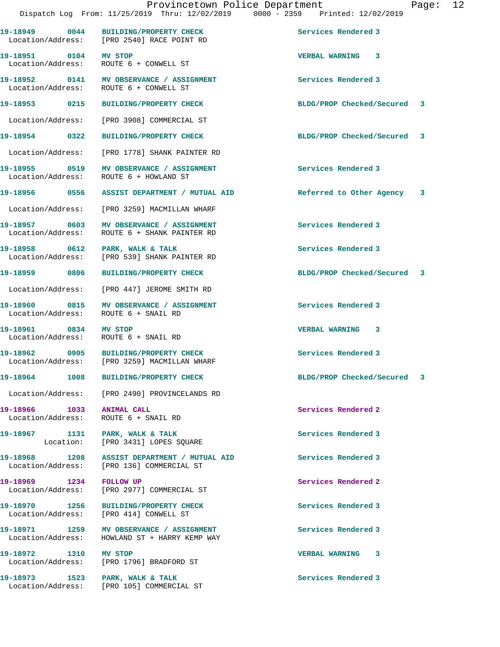**19-18949 0044 BUILDING/PROPERTY CHECK Services Rendered 3** 

**19-18951 0104 MV STOP VERBAL WARNING 3** 

Location/Address: [PRO 2540] RACE POINT RD

 Location/Address: ROUTE 6 + CONWELL ST **19-18952 0141 MV OBSERVANCE / ASSIGNMENT Services Rendered 3**  Location/Address: ROUTE 6 + CONWELL ST **19-18953 0215 BUILDING/PROPERTY CHECK BLDG/PROP Checked/Secured 3** Location/Address: [PRO 3908] COMMERCIAL ST **19-18954 0322 BUILDING/PROPERTY CHECK BLDG/PROP Checked/Secured 3** Location/Address: [PRO 1778] SHANK PAINTER RD **19-18955 0519 MV OBSERVANCE / ASSIGNMENT Services Rendered 3**  ROUTE 6 + HOWLAND ST **19-18956 0556 ASSIST DEPARTMENT / MUTUAL AID Referred to Other Agency 3** Location/Address: [PRO 3259] MACMILLAN WHARF **19-18957 0603 MV OBSERVANCE / ASSIGNMENT Services Rendered 3**  ROUTE 6 + SHANK PAINTER RD **19-18958 0612 PARK, WALK & TALK Services Rendered 3**  Location/Address: [PRO 539] SHANK PAINTER RD **19-18959 0806 BUILDING/PROPERTY CHECK BLDG/PROP Checked/Secured 3** Location/Address: [PRO 447] JEROME SMITH RD **19-18960 0815 MV OBSERVANCE / ASSIGNMENT Services Rendered 3**  Location/Address: ROUTE 6 + SNAIL RD **19-18961 0834 MV STOP VERBAL WARNING 3**  Location/Address: ROUTE 6 + SNAIL RD **19-18962 0905 BUILDING/PROPERTY CHECK Services Rendered 3**  [PRO 3259] MACMILLAN WHARF **19-18964 1008 BUILDING/PROPERTY CHECK BLDG/PROP Checked/Secured 3** Location/Address: [PRO 2490] PROVINCELANDS RD 19-18966 1033 ANIMAL CALL **19-18966** 1033 ANIMAL CALL Location/Address: ROUTE 6 + SNAIL RD 19-18967 1131 PARK, WALK & TALK **Services Rendered 3**  Location: [PRO 3431] LOPES SQUARE **19-18968 1208 ASSIST DEPARTMENT / MUTUAL AID Services Rendered 3**  [PRO 136] COMMERCIAL ST **19-18969 1234 FOLLOW UP Services Rendered 2**  Location/Address: [PRO 2977] COMMERCIAL ST **19-18970 1256 BUILDING/PROPERTY CHECK Services Rendered 3**  Location/Address: [PRO 414] CONWELL ST **19-18971 1259 MV OBSERVANCE / ASSIGNMENT Services Rendered 3**  Location/Address: HOWLAND ST + HARRY KEMP WAY **19-18972 1310 MV STOP VERBAL WARNING 3**  Location/Address: [PRO 1796] BRADFORD ST 19-18973 1523 PARK, WALK & TALK **Services Rendered 3** Location/Address: [PRO 105] COMMERCIAL ST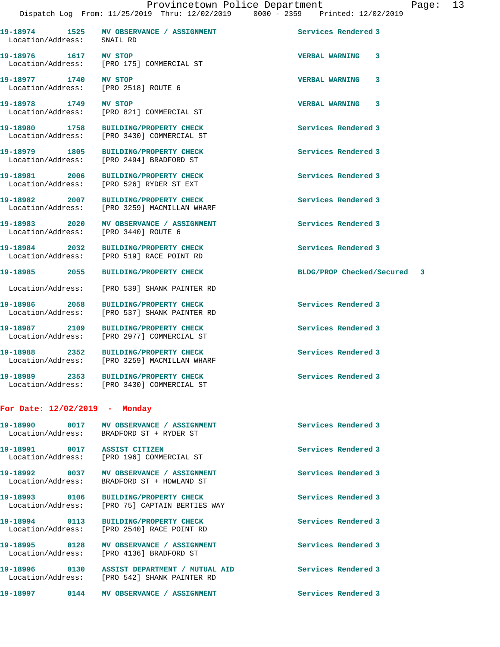**19-18974 1525 MV OBSERVANCE / ASSIGNMENT Services Rendered 3**  Location/Address: SNAIL RD **19-18976 1617 MV STOP VERBAL WARNING 3**  Location/Address: [PRO 175] COMMERCIAL ST **19-18977 1740 MV STOP VERBAL WARNING 3**  Location/Address: [PRO 2518] ROUTE 6 **19-18978 1749 MV STOP VERBAL WARNING 3**  [PRO 821] COMMERCIAL ST **19-18980 1758 BUILDING/PROPERTY CHECK Services Rendered 3**  Location/Address: [PRO 3430] COMMERCIAL ST **19-18979 1805 BUILDING/PROPERTY CHECK Services Rendered 3**  Location/Address: [PRO 2494] BRADFORD ST **19-18981 2006 BUILDING/PROPERTY CHECK Services Rendered 3**  Location/Address: [PRO 526] RYDER ST EXT **19-18982 2007 BUILDING/PROPERTY CHECK Services Rendered 3**  Location/Address: [PRO 3259] MACMILLAN WHARF 19-18983 2020 MV OBSERVANCE / ASSIGNMENT **Services Rendered 3**  Location/Address: [PRO 3440] ROUTE 6 **19-18984 2032 BUILDING/PROPERTY CHECK Services Rendered 3**  Location/Address: [PRO 519] RACE POINT RD **19-18985 2055 BUILDING/PROPERTY CHECK BLDG/PROP Checked/Secured 3** Location/Address: [PRO 539] SHANK PAINTER RD **19-18986 2058 BUILDING/PROPERTY CHECK Services Rendered 3**  Location/Address: [PRO 537] SHANK PAINTER RD **19-18987 2109 BUILDING/PROPERTY CHECK Services Rendered 3**  [PRO 2977] COMMERCIAL ST **19-18988 2352 BUILDING/PROPERTY CHECK Services Rendered 3**  Location/Address: [PRO 3259] MACMILLAN WHARF **19-18989 2353 BUILDING/PROPERTY CHECK Services Rendered 3**  Location/Address: [PRO 3430] COMMERCIAL ST **For Date: 12/02/2019 - Monday 19-18990 0017 MV OBSERVANCE / ASSIGNMENT Services Rendered 3**  Location/Address: BRADFORD ST + RYDER ST **19-18991 0017 ASSIST CITIZEN Services Rendered 3**  [PRO 196] COMMERCIAL ST **19-18992 0037 MV OBSERVANCE / ASSIGNMENT Services Rendered 3**  Location/Address: BRADFORD ST + HOWLAND ST

**19-18993 0106 BUILDING/PROPERTY CHECK Services Rendered 3**  Location/Address: [PRO 75] CAPTAIN BERTIES WAY

**19-18994 0113 BUILDING/PROPERTY CHECK Services Rendered 3**  [PRO 2540] RACE POINT RD

**19-18995 0128 MV OBSERVANCE / ASSIGNMENT Services Rendered 3**  Location/Address: [PRO 4136] BRADFORD ST

**19-18996 0130 ASSIST DEPARTMENT / MUTUAL AID Services Rendered 3**  Location/Address: [PRO 542] SHANK PAINTER RD

**19-18997 0144 MV OBSERVANCE / ASSIGNMENT Services Rendered 3**